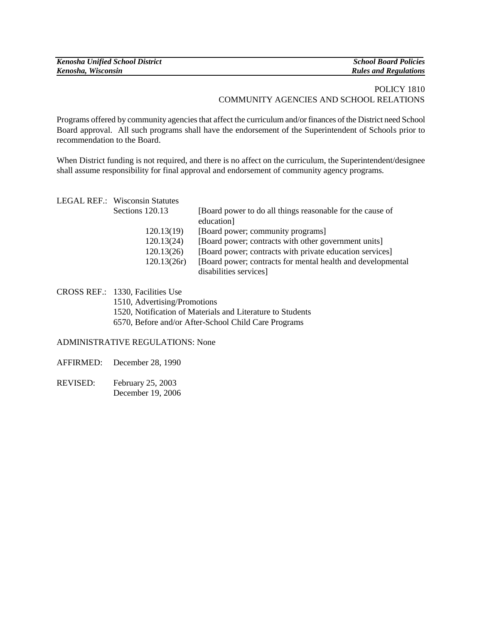| <b>Kenosha Unified School District</b> | <b>School Board Policies</b> |
|----------------------------------------|------------------------------|
| Kenosha, Wisconsin                     | <b>Rules and Regulations</b> |

## POLICY 1810 COMMUNITY AGENCIES AND SCHOOL RELATIONS

Programs offered by community agencies that affect the curriculum and/or finances of the District need School Board approval. All such programs shall have the endorsement of the Superintendent of Schools prior to recommendation to the Board.

When District funding is not required, and there is no affect on the curriculum, the Superintendent/designee shall assume responsibility for final approval and endorsement of community agency programs.

|  | <b>LEGAL REF.: Wisconsin Statutes</b> |                                                              |
|--|---------------------------------------|--------------------------------------------------------------|
|  | Sections 120.13                       | [Board power to do all things reasonable for the cause of    |
|  |                                       | education]                                                   |
|  | 120.13(19)                            | [Board power; community programs]                            |
|  | 120.13(24)                            | [Board power; contracts with other government units]         |
|  | 120.13(26)                            | [Board power; contracts with private education services]     |
|  | 120.13(26r)                           | [Board power; contracts for mental health and developmental] |
|  |                                       | disabilities services]                                       |

CROSS REF.: 1330, Facilities Use 1510, Advertising/Promotions 1520, Notification of Materials and Literature to Students 6570, Before and/or After-School Child Care Programs

## ADMINISTRATIVE REGULATIONS: None

- AFFIRMED: December 28, 1990
- REVISED: February 25, 2003 December 19, 2006